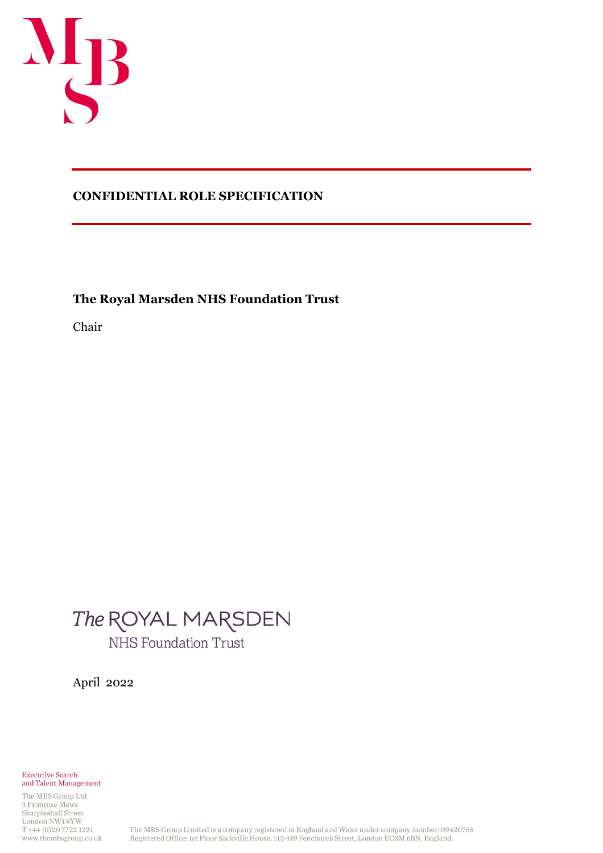

## **CONFIDENTIAL ROLE SPECIFICATION**

**The Royal Marsden NHS Foundation Trust**

Chair

# The ROYAL MARSDEN NHS Foundation Trust

April 2022

**Executive Search** and Talent Management

The MBS Group Ltd 3 Primrose Mews Sharpleshall Street London NW18YW T+44 (0) 207722 1221 www.thembsgroup.co.uk

The MBS Group Limited is a company registered in England and Wales under company number: 09420768 Registered Office: 1st Floor Sackville House, 143-149 Fenchurch Street, London EC3M 6BN, England.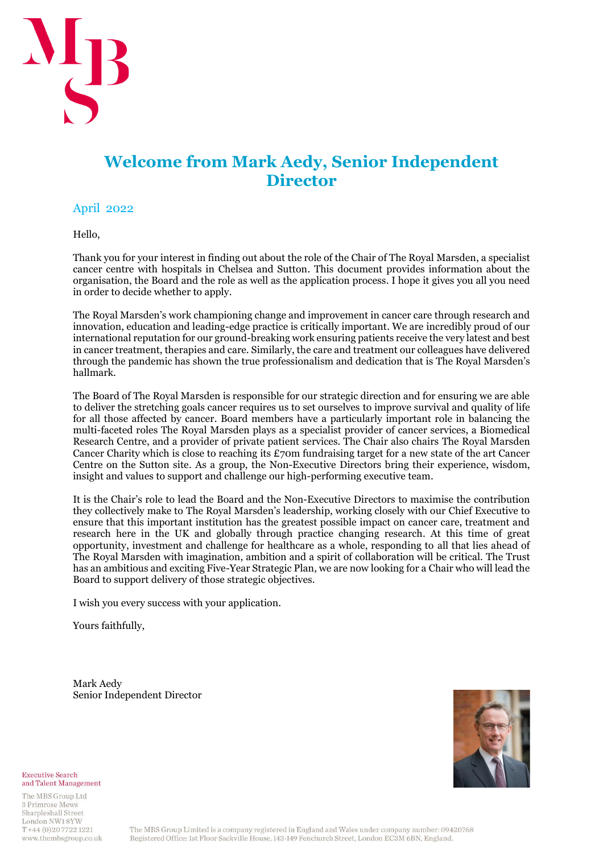

# **Welcome from Mark Aedy, Senior Independent Director**

## April 2022

Hello,

Thank you for your interest in finding out about the role of the Chair of The Royal Marsden, a specialist cancer centre with hospitals in Chelsea and Sutton. This document provides information about the organisation, the Board and the role as well as the application process. I hope it gives you all you need in order to decide whether to apply.

The Royal Marsden's work championing change and improvement in cancer care through research and innovation, education and leading-edge practice is critically important. We are incredibly proud of our international reputation for our ground-breaking work ensuring patients receive the very latest and best in cancer treatment, therapies and care. Similarly, the care and treatment our colleagues have delivered through the pandemic has shown the true professionalism and dedication that is The Royal Marsden's hallmark.

The Board of The Royal Marsden is responsible for our strategic direction and for ensuring we are able to deliver the stretching goals cancer requires us to set ourselves to improve survival and quality of life for all those affected by cancer. Board members have a particularly important role in balancing the multi-faceted roles The Royal Marsden plays as a specialist provider of cancer services, a Biomedical Research Centre, and a provider of private patient services. The Chair also chairs The Royal Marsden Cancer Charity which is close to reaching its  $£70m$  fundraising target for a new state of the art Cancer Centre on the Sutton site. As a group, the Non-Executive Directors bring their experience, wisdom, insight and values to support and challenge our high-performing executive team.

It is the Chair's role to lead the Board and the Non-Executive Directors to maximise the contribution they collectively make to The Royal Marsden's leadership, working closely with our Chief Executive to ensure that this important institution has the greatest possible impact on cancer care, treatment and research here in the UK and globally through practice changing research. At this time of great opportunity, investment and challenge for healthcare as a whole, responding to all that lies ahead of The Royal Marsden with imagination, ambition and a spirit of collaboration will be critical. The Trust has an ambitious and exciting Five-Year Strategic Plan, we are now looking for a Chair who will lead the Board to support delivery of those strategic objectives.

I wish you every success with your application.

Yours faithfully,

Mark Aedy Senior Independent Director



**Executive Search** and Talent Management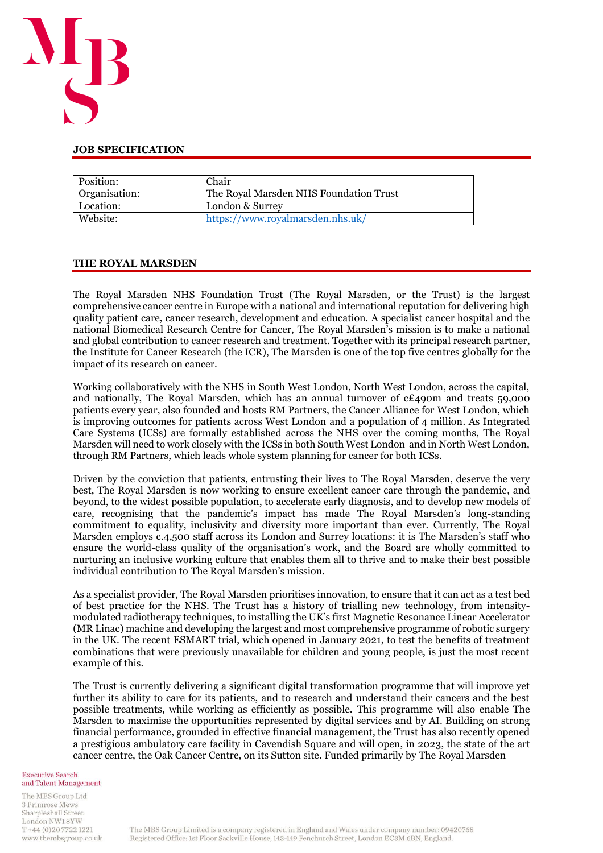

#### **JOB SPECIFICATION**

| Position:     | Chair                                  |
|---------------|----------------------------------------|
| Organisation: | The Royal Marsden NHS Foundation Trust |
| Location:     | London & Surrey                        |
| Website:      | https://www.royalmarsden.nhs.uk/       |

#### **THE ROYAL MARSDEN**

The Royal Marsden NHS Foundation Trust (The Royal Marsden, or the Trust) is the largest comprehensive cancer centre in Europe with a national and international reputation for delivering high quality patient care, cancer research, development and education. A specialist cancer hospital and the national Biomedical Research Centre for Cancer, The Royal Marsden's mission is to make a national and global contribution to cancer research and treatment. Together with its principal research partner, the Institute for Cancer Research (the ICR), The Marsden is one of the top five centres globally for the impact of its research on cancer.

Working collaboratively with the NHS in South West London, North West London, across the capital, and nationally, The Royal Marsden, which has an annual turnover of  $cE_4$ 90m and treats 59,000 patients every year, also founded and hosts RM Partners, the Cancer Alliance for West London, which is improving outcomes for patients across West London and a population of 4 million. As Integrated Care Systems (ICSs) are formally established across the NHS over the coming months, The Royal Marsden will need to work closely with the ICSs in both South West London and in North West London, through RM Partners, which leads whole system planning for cancer for both ICSs.

Driven by the conviction that patients, entrusting their lives to The Royal Marsden, deserve the very best, The Royal Marsden is now working to ensure excellent cancer care through the pandemic, and beyond, to the widest possible population, to accelerate early diagnosis, and to develop new models of care, recognising that the pandemic's impact has made The Royal Marsden's long-standing commitment to equality, inclusivity and diversity more important than ever. Currently, The Royal Marsden employs c.4,500 staff across its London and Surrey locations: it is The Marsden's staff who ensure the world-class quality of the organisation's work, and the Board are wholly committed to nurturing an inclusive working culture that enables them all to thrive and to make their best possible individual contribution to The Royal Marsden's mission.

As a specialist provider, The Royal Marsden prioritises innovation, to ensure that it can act as a test bed of best practice for the NHS. The Trust has a history of trialling new technology, from intensitymodulated radiotherapy techniques, to installing the UK's first Magnetic Resonance Linear Accelerator (MR Linac) machine and developing the largest and most comprehensive programme of robotic surgery in the UK. The recent ESMART trial, which opened in January 2021, to test the benefits of treatment combinations that were previously unavailable for children and young people, is just the most recent example of this.

The Trust is currently delivering a significant digital transformation programme that will improve yet further its ability to care for its patients, and to research and understand their cancers and the best possible treatments, while working as efficiently as possible. This programme will also enable The Marsden to maximise the opportunities represented by digital services and by AI. Building on strong financial performance, grounded in effective financial management, the Trust has also recently opened a prestigious ambulatory care facility in Cavendish Square and will open, in 2023, the state of the art cancer centre, the Oak Cancer Centre, on its Sutton site. Funded primarily by The Royal Marsden

**Executive Search** and Talent Management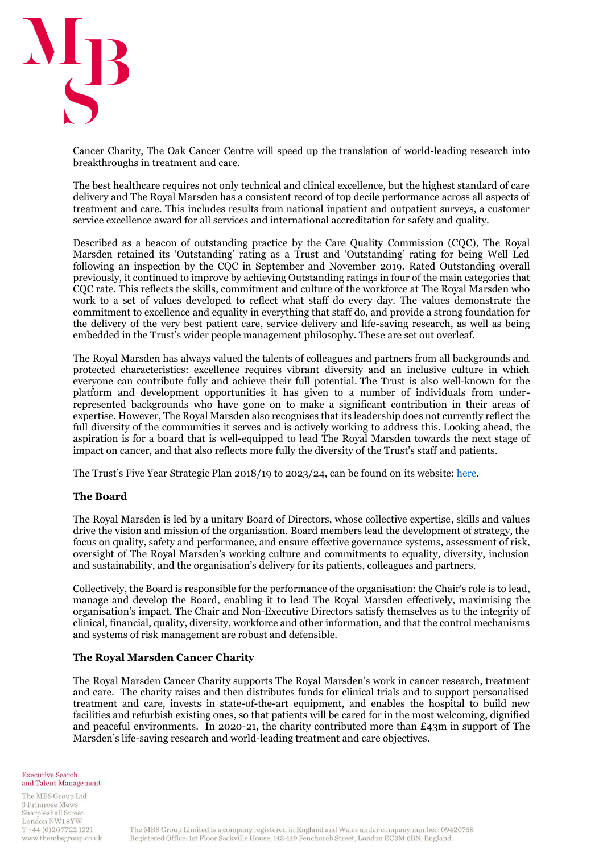

Cancer Charity, The Oak Cancer Centre will speed up the translation of world-leading research into breakthroughs in treatment and care.

The best healthcare requires not only technical and clinical excellence, but the highest standard of care delivery and The Royal Marsden has a consistent record of top decile performance across all aspects of treatment and care. This includes results from national inpatient and outpatient surveys, a customer service excellence award for all services and international accreditation for safety and quality.

Described as a beacon of outstanding practice by the Care Quality Commission (CQC), The Royal Marsden retained its 'Outstanding' rating as a Trust and 'Outstanding' rating for being Well Led following an inspection by the CQC in September and November 2019. Rated Outstanding overall previously, it continued to improve by achieving Outstanding ratings in four of the main categories that CQC rate. This reflects the skills, commitment and culture of the workforce at The Royal Marsden who work to a set of values developed to reflect what staff do every day. The values demonstrate the commitment to excellence and equality in everything that staff do, and provide a strong foundation for the delivery of the very best patient care, service delivery and life-saving research, as well as being embedded in the Trust's wider people management philosophy. These are set out overleaf.

The Royal Marsden has always valued the talents of colleagues and partners from all backgrounds and protected characteristics: excellence requires vibrant diversity and an inclusive culture in which everyone can contribute fully and achieve their full potential. The Trust is also well-known for the platform and development opportunities it has given to a number of individuals from underrepresented backgrounds who have gone on to make a significant contribution in their areas of expertise. However, The Royal Marsden also recognises that its leadership does not currently reflect the full diversity of the communities it serves and is actively working to address this. Looking ahead, the aspiration is for a board that is well-equipped to lead The Royal Marsden towards the next stage of impact on cancer, and that also reflects more fully the diversity of the Trust's staff and patients.

The Trust's Five Year Strategic Plan 2018/19 to 2023/24, can be found on its website[: here.](https://www.royalmarsden.nhs.uk/about-royal-marsden/quality-and-safety/regulatory-information/five-year-strategic-plan)

#### **The Board**

The Royal Marsden is led by a unitary Board of Directors, whose collective expertise, skills and values drive the vision and mission of the organisation. Board members lead the development of strategy, the focus on quality, safety and performance, and ensure effective governance systems, assessment of risk, oversight of The Royal Marsden's working culture and commitments to equality, diversity, inclusion and sustainability, and the organisation's delivery for its patients, colleagues and partners.

Collectively, the Board is responsible for the performance of the organisation: the Chair's role is to lead, manage and develop the Board, enabling it to lead The Royal Marsden effectively, maximising the organisation's impact. The Chair and Non-Executive Directors satisfy themselves as to the integrity of clinical, financial, quality, diversity, workforce and other information, and that the control mechanisms and systems of risk management are robust and defensible.

#### **The Royal Marsden Cancer Charity**

The Royal Marsden Cancer Charity supports The Royal Marsden's work in cancer research, treatment and care. The charity raises and then distributes funds for clinical trials and to support personalised treatment and care, invests in state-of-the-art equipment, and enables the hospital to build new facilities and refurbish existing ones, so that patients will be cared for in the most welcoming, dignified and peaceful environments. In 2020-21, the charity contributed more than  $\pounds$ 43m in support of The Marsden's life-saving research and world-leading treatment and care objectives.

**Executive Search** and Talent Management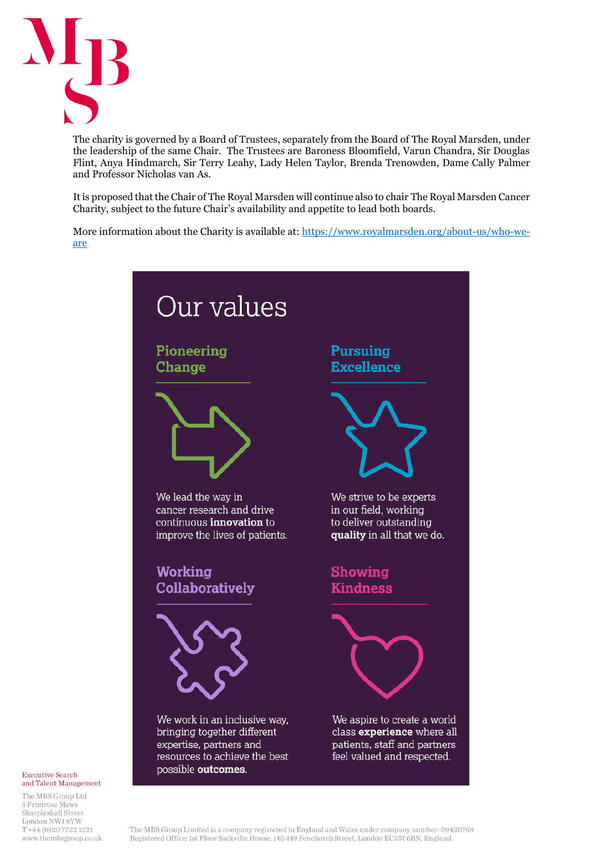

The charity is governed by a Board of Trustees, separately from the Board of The Royal Marsden, under the leadership of the same Chair. The Trustees are Baroness Bloomfield, Varun Chandra, Sir Douglas Flint, Anya Hindmarch, Sir Terry Leahy, Lady Helen Taylor, Brenda Trenowden, Dame Cally Palmer and Professor Nicholas van As.

It is proposed that the Chair of The Royal Marsden will continue also to chair The Royal Marsden Cancer Charity, subject to the future Chair's availability and appetite to lead both boards.

More information about the Charity is available at: [https://www.royalmarsden.org/about-us/who-we](https://www.royalmarsden.org/about-us/who-we-are)[are](https://www.royalmarsden.org/about-us/who-we-are)



#### **Executive Search** and Talent Management

The MBS Group Ltd 3 Primrose Mews Sharpleshall Street London NW18YW  $T + 44(0)2077221221$ www.thembsgroup.co.uk

The MBS Group Limited is a company registered in England and Wales under company number: 09420768 Registered Office: 1st Floor Sackville House, 143-149 Fenchurch Street, London EC3M 6BN, England.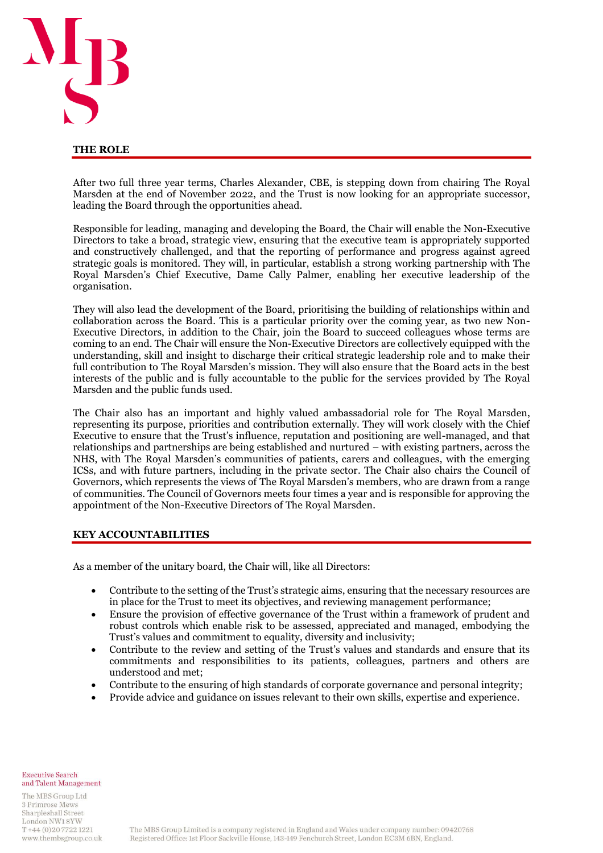

#### **THE ROLE**

After two full three year terms, Charles Alexander, CBE, is stepping down from chairing The Royal Marsden at the end of November 2022, and the Trust is now looking for an appropriate successor, leading the Board through the opportunities ahead.

Responsible for leading, managing and developing the Board, the Chair will enable the Non-Executive Directors to take a broad, strategic view, ensuring that the executive team is appropriately supported and constructively challenged, and that the reporting of performance and progress against agreed strategic goals is monitored. They will, in particular, establish a strong working partnership with The Royal Marsden's Chief Executive, Dame Cally Palmer, enabling her executive leadership of the organisation.

They will also lead the development of the Board, prioritising the building of relationships within and collaboration across the Board. This is a particular priority over the coming year, as two new Non-Executive Directors, in addition to the Chair, join the Board to succeed colleagues whose terms are coming to an end. The Chair will ensure the Non-Executive Directors are collectively equipped with the understanding, skill and insight to discharge their critical strategic leadership role and to make their full contribution to The Royal Marsden's mission. They will also ensure that the Board acts in the best interests of the public and is fully accountable to the public for the services provided by The Royal Marsden and the public funds used.

The Chair also has an important and highly valued ambassadorial role for The Royal Marsden, representing its purpose, priorities and contribution externally. They will work closely with the Chief Executive to ensure that the Trust's influence, reputation and positioning are well-managed, and that relationships and partnerships are being established and nurtured – with existing partners, across the NHS, with The Royal Marsden's communities of patients, carers and colleagues, with the emerging ICSs, and with future partners, including in the private sector. The Chair also chairs the Council of Governors, which represents the views of The Royal Marsden's members, who are drawn from a range of communities. The Council of Governors meets four times a year and is responsible for approving the appointment of the Non-Executive Directors of The Royal Marsden.

#### **KEY ACCOUNTABILITIES**

As a member of the unitary board, the Chair will, like all Directors:

- Contribute to the setting of the Trust's strategic aims, ensuring that the necessary resources are in place for the Trust to meet its objectives, and reviewing management performance;
- Ensure the provision of effective governance of the Trust within a framework of prudent and robust controls which enable risk to be assessed, appreciated and managed, embodying the Trust's values and commitment to equality, diversity and inclusivity;
- Contribute to the review and setting of the Trust's values and standards and ensure that its commitments and responsibilities to its patients, colleagues, partners and others are understood and met;
- Contribute to the ensuring of high standards of corporate governance and personal integrity;
- Provide advice and guidance on issues relevant to their own skills, expertise and experience.

**Executive Search** and Talent Management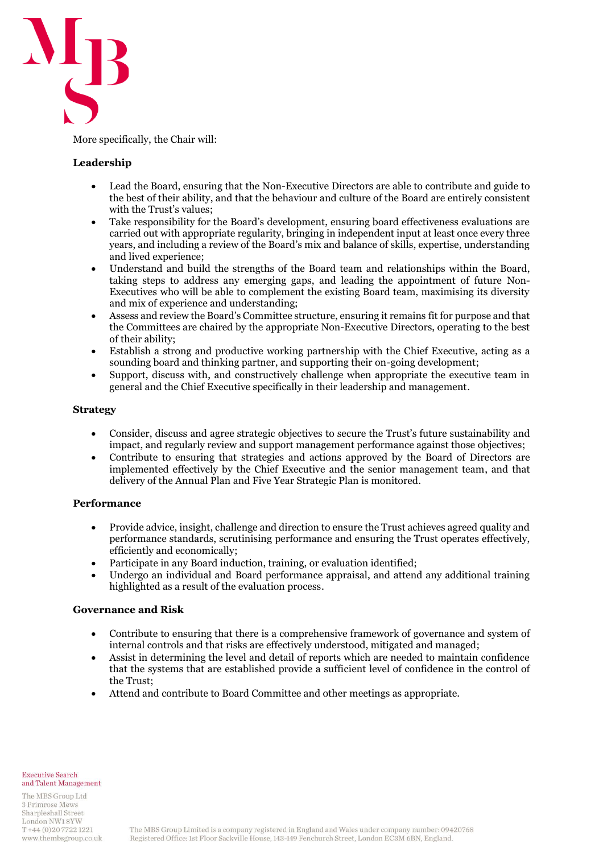

More specifically, the Chair will:

### **Leadership**

- Lead the Board, ensuring that the Non-Executive Directors are able to contribute and guide to the best of their ability, and that the behaviour and culture of the Board are entirely consistent with the Trust's values;
- Take responsibility for the Board's development, ensuring board effectiveness evaluations are carried out with appropriate regularity, bringing in independent input at least once every three years, and including a review of the Board's mix and balance of skills, expertise, understanding and lived experience;
- Understand and build the strengths of the Board team and relationships within the Board, taking steps to address any emerging gaps, and leading the appointment of future Non-Executives who will be able to complement the existing Board team, maximising its diversity and mix of experience and understanding;
- Assess and review the Board's Committee structure, ensuring it remains fit for purpose and that the Committees are chaired by the appropriate Non-Executive Directors, operating to the best of their ability;
- Establish a strong and productive working partnership with the Chief Executive, acting as a sounding board and thinking partner, and supporting their on-going development;
- Support, discuss with, and constructively challenge when appropriate the executive team in general and the Chief Executive specifically in their leadership and management.

#### **Strategy**

- Consider, discuss and agree strategic objectives to secure the Trust's future sustainability and impact, and regularly review and support management performance against those objectives;
- Contribute to ensuring that strategies and actions approved by the Board of Directors are implemented effectively by the Chief Executive and the senior management team, and that delivery of the Annual Plan and Five Year Strategic Plan is monitored.

#### **Performance**

- Provide advice, insight, challenge and direction to ensure the Trust achieves agreed quality and performance standards, scrutinising performance and ensuring the Trust operates effectively, efficiently and economically;
- Participate in any Board induction, training, or evaluation identified;
- Undergo an individual and Board performance appraisal, and attend any additional training highlighted as a result of the evaluation process.

#### **Governance and Risk**

- Contribute to ensuring that there is a comprehensive framework of governance and system of internal controls and that risks are effectively understood, mitigated and managed;
- Assist in determining the level and detail of reports which are needed to maintain confidence that the systems that are established provide a sufficient level of confidence in the control of the Trust;
- Attend and contribute to Board Committee and other meetings as appropriate.

**Executive Search** and Talent Management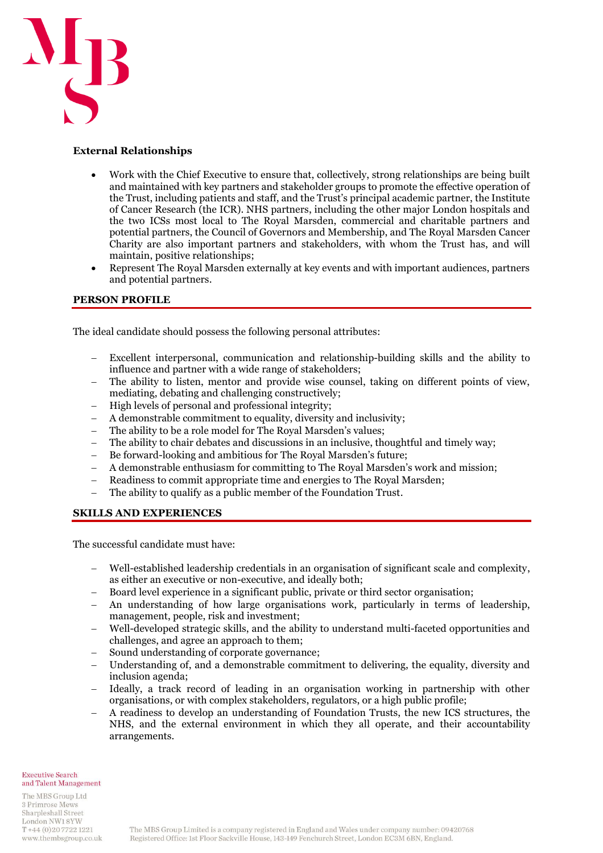

#### **External Relationships**

- Work with the Chief Executive to ensure that, collectively, strong relationships are being built and maintained with key partners and stakeholder groups to promote the effective operation of the Trust, including patients and staff, and the Trust's principal academic partner, the Institute of Cancer Research (the ICR). NHS partners, including the other major London hospitals and the two ICSs most local to The Royal Marsden, commercial and charitable partners and potential partners, the Council of Governors and Membership, and The Royal Marsden Cancer Charity are also important partners and stakeholders, with whom the Trust has, and will maintain, positive relationships;
- Represent The Royal Marsden externally at key events and with important audiences, partners and potential partners.

### **PERSON PROFILE**

The ideal candidate should possess the following personal attributes:

- − Excellent interpersonal, communication and relationship-building skills and the ability to influence and partner with a wide range of stakeholders;
- The ability to listen, mentor and provide wise counsel, taking on different points of view, mediating, debating and challenging constructively;
- − High levels of personal and professional integrity;
- − A demonstrable commitment to equality, diversity and inclusivity;
- The ability to be a role model for The Royal Marsden's values;
- The ability to chair debates and discussions in an inclusive, thoughtful and timely way;
- Be forward-looking and ambitious for The Royal Marsden's future;
- − A demonstrable enthusiasm for committing to The Royal Marsden's work and mission;
- − Readiness to commit appropriate time and energies to The Royal Marsden;
- − The ability to qualify as a public member of the Foundation Trust.

#### **SKILLS AND EXPERIENCES**

The successful candidate must have:

- − Well-established leadership credentials in an organisation of significant scale and complexity, as either an executive or non-executive, and ideally both;
- Board level experience in a significant public, private or third sector organisation;
- − An understanding of how large organisations work, particularly in terms of leadership, management, people, risk and investment;
- − Well-developed strategic skills, and the ability to understand multi-faceted opportunities and challenges, and agree an approach to them;
- Sound understanding of corporate governance;
- Understanding of, and a demonstrable commitment to delivering, the equality, diversity and inclusion agenda;
- − Ideally, a track record of leading in an organisation working in partnership with other organisations, or with complex stakeholders, regulators, or a high public profile;
- − A readiness to develop an understanding of Foundation Trusts, the new ICS structures, the NHS, and the external environment in which they all operate, and their accountability arrangements.

**Executive Search** and Talent Management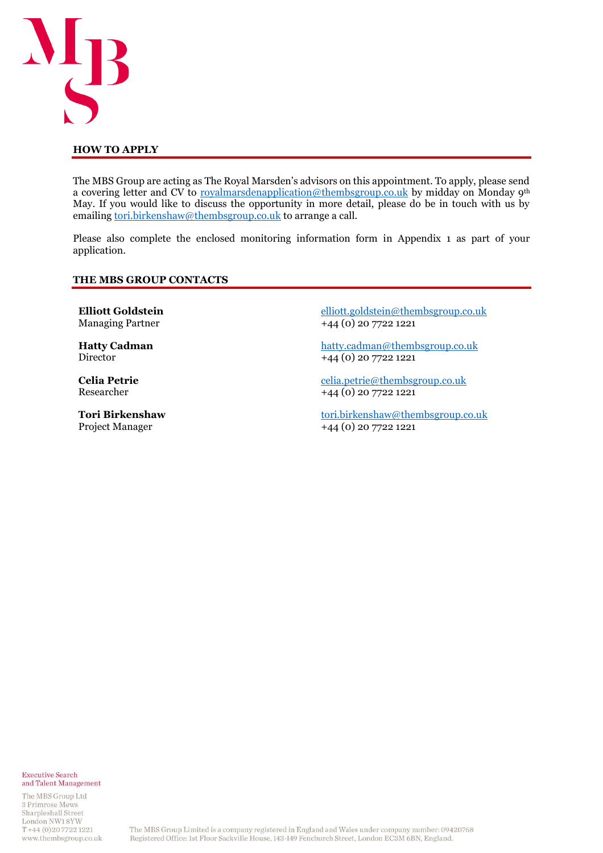

#### **HOW TO APPLY**

The MBS Group are acting as The Royal Marsden's advisors on this appointment. To apply, please send a covering letter and CV to [royalmarsdenapplication@thembsgroup.co.uk](mailto:royalmarsdenapplication@thembsgroup.co.uk) by midday on Monday 9th May. If you would like to discuss the opportunity in more detail, please do be in touch with us by emailing [tori.birkenshaw@thembsgroup.co.uk](mailto:tori.birkenshaw@thembsgroup.co.uk) to arrange a call.

Please also complete the enclosed monitoring information form in Appendix 1 as part of your application.

#### **THE MBS GROUP CONTACTS**

**Elliott Goldstein** Managing Partner

**Hatty Cadman** Director

**Celia Petrie** Researcher

**Tori Birkenshaw** Project Manager

[elliott.goldstein@thembsgroup.co.uk](mailto:elliott.goldstein@thembsgroup.co.uk) +44 (0) 20 7722 1221

[hatty.cadman@thembsgroup.co.uk](mailto:hatty.cadman@thembsgroup.co.uk) +44 (0) 20 7722 1221

[celia.petrie@thembsgroup.co.uk](mailto:celia.petrie@thembsgroup.co.uk) +44 (0) 20 7722 1221

[tori.birkenshaw@thembsgroup.co.uk](mailto:tori.birkenshaw@thembsgroup.co.uk) +44 (0) 20 7722 1221

**Executive Search** and Talent Management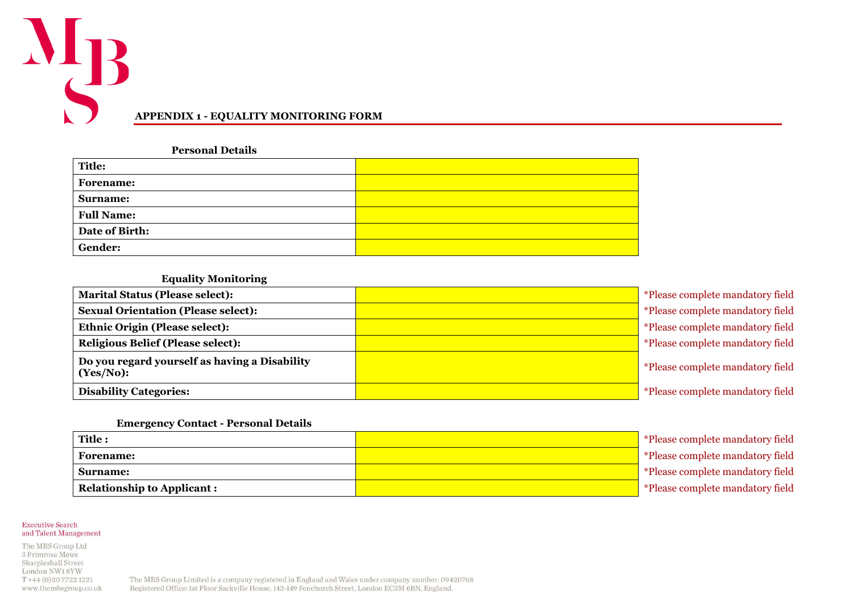

**Personal Details**

| <b>Title:</b>     |  |
|-------------------|--|
| <b>Forename:</b>  |  |
| Surname:          |  |
| <b>Full Name:</b> |  |
| Date of Birth:    |  |
| Gender:           |  |

#### **Equality Monitoring**

| <b>Marital Status (Please select):</b>                     | *Please complete mandatory field |
|------------------------------------------------------------|----------------------------------|
| <b>Sexual Orientation (Please select):</b>                 | *Please complete mandatory field |
| <b>Ethnic Origin (Please select):</b>                      | *Please complete mandatory field |
| <b>Religious Belief (Please select):</b>                   | *Please complete mandatory field |
| Do you regard yourself as having a Disability<br>(Yes/No): | *Please complete mandatory field |
| <b>Disability Categories:</b>                              | *Please complete mandatory field |

#### **Emergency Contact - Personal Details**

| Title:                            | *Please complete mandatory field |
|-----------------------------------|----------------------------------|
| <b>Forename:</b>                  | *Please complete mandatory field |
| <b>Surname:</b>                   | *Please complete mandatory field |
| <b>Relationship to Applicant:</b> | *Please complete mandatory field |

**Executive Search** and Talent Management